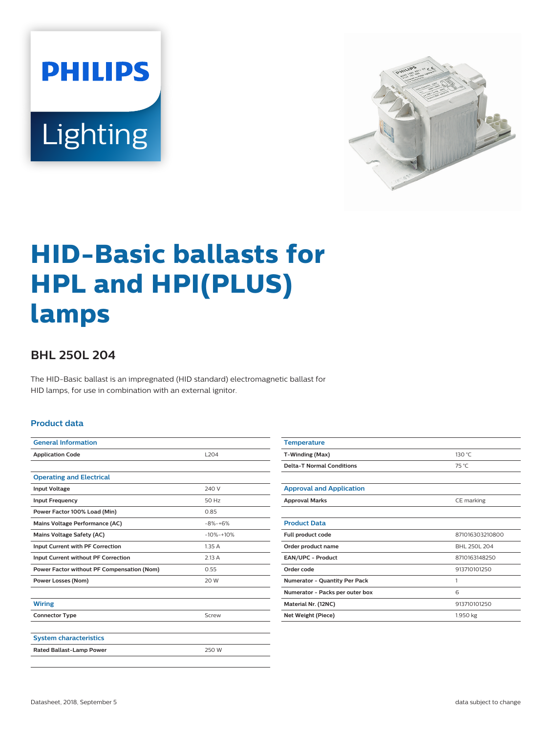



# **HID-Basic ballasts for HPL and HPI(PLUS) lamps**

## **BHL 250L 204**

The HID-Basic ballast is an impregnated (HID standard) electromagnetic ballast for HID lamps, for use in combination with an external ignitor.

#### **Product data**

| L <sub>204</sub> |  |  |
|------------------|--|--|
|                  |  |  |
|                  |  |  |
| 240 V            |  |  |
| 50 Hz            |  |  |
| 0.85             |  |  |
| $-8% -+6%$       |  |  |
| $-10% -10%$      |  |  |
| 1.35A            |  |  |
| 2.13A            |  |  |
| 0.55             |  |  |
| 20 W             |  |  |
|                  |  |  |
|                  |  |  |
| Screw            |  |  |
|                  |  |  |
|                  |  |  |
| 250 W            |  |  |
|                  |  |  |

| <b>Temperature</b>               |                 |  |
|----------------------------------|-----------------|--|
| T-Winding (Max)                  | 130 °C          |  |
| <b>Delta-T Normal Conditions</b> | 75 °C           |  |
|                                  |                 |  |
| <b>Approval and Application</b>  |                 |  |
| <b>Approval Marks</b>            | CE marking      |  |
|                                  |                 |  |
| <b>Product Data</b>              |                 |  |
| Full product code                | 871016303210800 |  |
| Order product name               | BHL 250L 204    |  |
| EAN/UPC - Product                | 8710163148250   |  |
| Order code                       | 913710101250    |  |
| Numerator - Quantity Per Pack    | 1               |  |
| Numerator - Packs per outer box  | 6               |  |
| Material Nr. (12NC)              | 913710101250    |  |
| <b>Net Weight (Piece)</b>        | 1.950 kg        |  |
|                                  |                 |  |